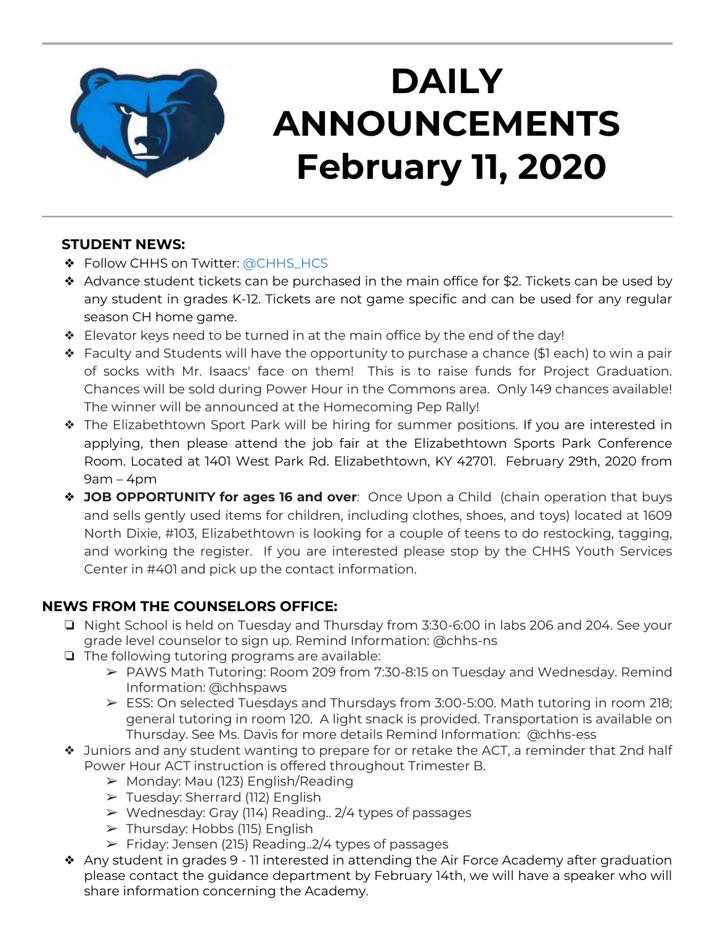

# **DAILY ANNOUNCEMENTS February 11, 2020**

### **STUDENT NEWS:**

- ❖ Follow CHHS on Twitter: [@CHHS\\_HCS](https://twitter.com/CHHS_HCS)
- ❖ Advance student tickets can be purchased in the main office for \$2. Tickets can be used by any student in grades K-12. Tickets are not game specific and can be used for any regular season CH home game.
- ❖ Elevator keys need to be turned in at the main office by the end of the day!
- ❖ Faculty and Students will have the opportunity to purchase a chance (\$1 each) to win a pair of socks with Mr. Isaacs' face on them! This is to raise funds for Project Graduation. Chances will be sold during Power Hour in the Commons area. Only 149 chances available! The winner will be announced at the Homecoming Pep Rally!
- ❖ The Elizabethtown Sport Park will be hiring for summer positions. If you are interested in applying, then please attend the job fair at the Elizabethtown Sports Park Conference Room. Located at 1401 West Park Rd. Elizabethtown, KY 42701. February 29th, 2020 from 9am – 4pm
- ❖ **JOB OPPORTUNITY for ages 16 and over**: Once Upon a Child (chain operation that buys and sells gently used items for children, including clothes, shoes, and toys) located at 1609 North Dixie, #103, Elizabethtown is looking for a couple of teens to do restocking, tagging, and working the register. If you are interested please stop by the CHHS Youth Services Center in #401 and pick up the contact information.

### **NEWS FROM THE COUNSELORS OFFICE:**

- ❏ Night School is held on Tuesday and Thursday from 3:30-6:00 in labs 206 and 204. See your grade level counselor to sign up. Remind Information: @chhs-ns
- ❏ The following tutoring programs are available:
	- ➢ PAWS Math Tutoring: Room 209 from 7:30-8:15 on Tuesday and Wednesday. Remind Information: @chhspaws
	- ➢ ESS: On selected Tuesdays and Thursdays from 3:00-5:00. Math tutoring in room 218; general tutoring in room 120. A light snack is provided. Transportation is available on Thursday. See Ms. Davis for more details Remind Information: @chhs-ess
- ❖ Juniors and any student wanting to prepare for or retake the ACT, a reminder that 2nd half Power Hour ACT instruction is offered throughout Trimester B.
	- $\triangleright$  Monday: Mau (123) English/Reading
	- ➢ Tuesday: Sherrard (112) English
	- ➢ Wednesday: Gray (114) Reading.. 2/4 types of passages
	- ➢ Thursday: Hobbs (115) English
	- $\triangleright$  Friday: Jensen (215) Reading..2/4 types of passages
- ❖ Any student in grades 9 11 interested in attending the Air Force Academy after graduation please contact the guidance department by February 14th, we will have a speaker who will share information concerning the Academy.